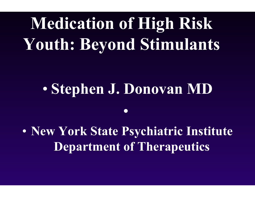# **Medication of High Risk Youth: Beyond Stimulants**

#### $\bullet$ **Stephen J. Donovan MD**

•

 $\bullet$  **New York State Psychiatric Institute Department of Therapeutics**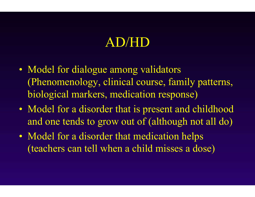### AD/HD

- Model for dialogue among validators (Phenomenology, clinical course, family patterns, biological markers, medication response)
- Model for a disorder that is present and childhood and one tends to grow out of (although not all do)
- Model for a disorder that medication helps (teachers can tell when a child misses a dose)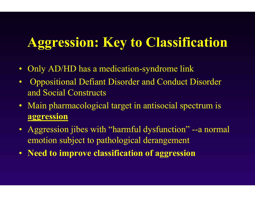# **Aggression: Key to Classification**

- $\bullet$ Only AD/HD has a m edication-syndrom e link
- $\bullet$ Oppositional Defiant Disorder and Conduct Disorder and Social Construct s
- Main pharmacological target in antisocial spectrum is **aggression**
- Aggression jibes with "harmful dysfunction" --a normal emotion subject to pathological derangement
- **Need to improve classification of aggression**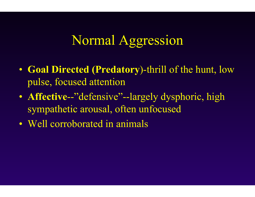### Normal Aggression

- Goal Directed (Predatory)-thrill of the hunt, low pulse, focused attention
- Affective-"defensive"--largely dysphoric, high sympathetic arousal, often unfocused
- Well corroborated in animals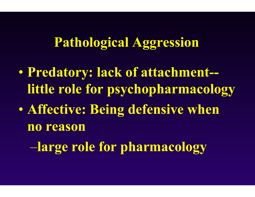#### **Pathological Aggression**

- $\bullet$  **Predatory: lack of attachment- little role for psychopharmacology**
- $\bullet$  **Affective: Being defensive when no reason**

–**large role for pharmacology**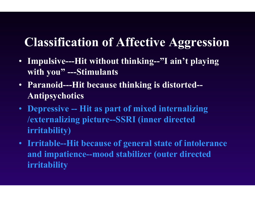#### **Classification of Affective Aggression**

- Impulsive---Hit without thinking--"I ain't playing **w ith you" ---Stimulants**
- **Paranoid---Hit because thinking is distorted-- Antipsychotics**
- **Depressive -- Hit as part of mixed internalizing /externalizing picture--SSRI (inner directed irritability)**
- **Irritable--Hit becau se of general state of intolerance and impat ience--mo od stabilizer (outer directed irritability**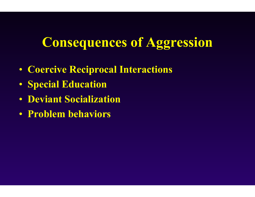#### **Consequences of Aggression**

- **Coercive Recip rocal Interacti ons**
- **Special Education**
- **Deviant Socialization**
- **Problem behaviors**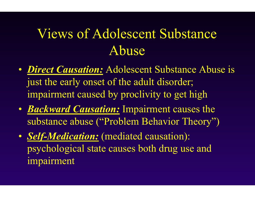# Views of Adolescent Substance Abuse

- *Direct Causation:* Adolescent Substance Abuse is just the early onset of the adult disorder; impairment caused by proclivity to get high
- *Backward Causation:* Impairment causes the substance abuse ( "Problem Behavior T heory")
- *Self-Medication:* (mediated causation): psychological state causes both drug use and impairment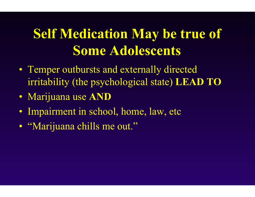# **Self Medication May be true of Some Adolescents**

- Temper outbursts and externally directed irritability (the psychological state) LEAD TO
- · Marijuana use AND
- · Impairment in school, home, law, etc
- "Marijuana chills me out."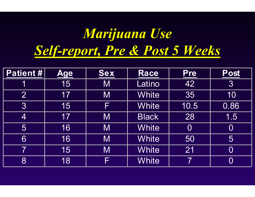# *Marijuana Use Marijuana Use* Self-report, Pre & Post 5 Weeks

| Patient #                | <u>Age</u> | <b>Sex</b> | Race         | <b>Pre</b>     | Post           |
|--------------------------|------------|------------|--------------|----------------|----------------|
|                          | 15         | M          | Latino       | 42             | 3              |
| $\overline{2}$           | 17         | M          | <b>White</b> | 35             | 10             |
| 3                        | 15         | F)         | <b>White</b> | 10.5           | 0.86           |
| $\vert 4 \vert$          | 17         | M          | <b>Black</b> | 28             | 1.5            |
| 5                        | 16         | M          | <b>White</b> | $\overline{0}$ | $\bf{0}$       |
| 6                        | 16         | M          | <b>White</b> | 50             | 5              |
| $\overline{\mathcal{I}}$ | 15         | M          | <b>White</b> | 21             | $\overline{0}$ |
| 8                        | 18         | ╞          | <b>White</b> |                | $\overline{0}$ |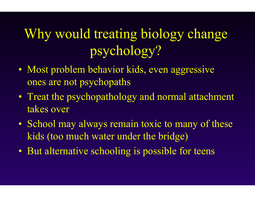# Why would treating biology change psychology?

- $\bullet$ • Most problem behavior kids, even aggressive ones are not psychopat h s
- $\bullet$  Treat the psychopathology and normal attachment takes over
- $\bullet$ • School may always remain toxic to many of these kids (too much water under the bridge)
- $\bullet$ • But alternative schooling is possible for teens